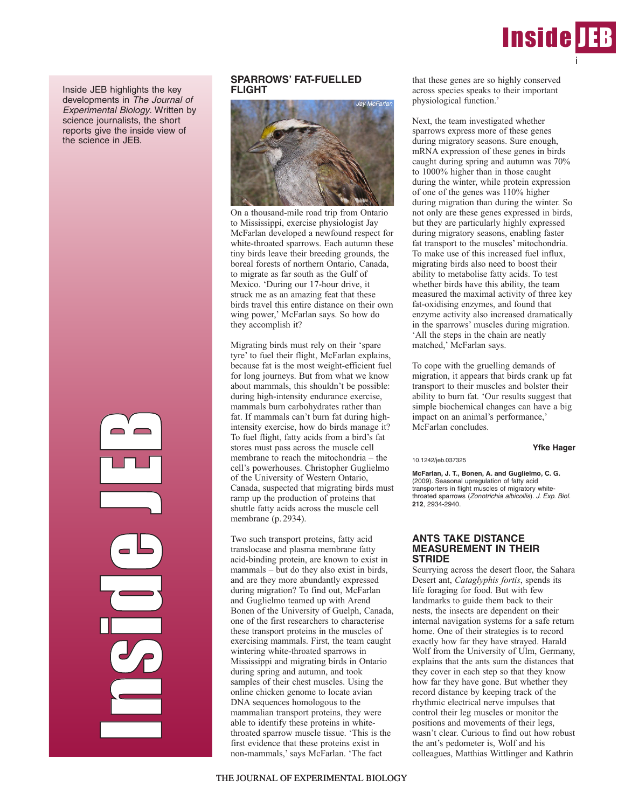

Inside JEB highlights the key developments in The Journal of Experimental Biology. Written by science journalists, the short reports give the inside view of the science in JEB.

> **Industrial** n $\mathcal{C}_{\mathcal{P}}$ in 1999 and 1999 d<br>J e J EP)

# **SPARROWS' FAT-FUELLED FLIGHT**



On a thousand-mile road trip from Ontario to Mississippi, exercise physiologist Jay McFarlan developed a newfound respect for white-throated sparrows. Each autumn these tiny birds leave their breeding grounds, the boreal forests of northern Ontario, Canada, to migrate as far south as the Gulf of Mexico. 'During our 17-hour drive, it struck me as an amazing feat that these birds travel this entire distance on their own wing power,' McFarlan says. So how do they accomplish it?

Migrating birds must rely on their 'spare tyre' to fuel their flight, McFarlan explains, because fat is the most weight-efficient fuel for long journeys. But from what we know about mammals, this shouldn't be possible: during high-intensity endurance exercise, mammals burn carbohydrates rather than fat. If mammals can't burn fat during highintensity exercise, how do birds manage it? To fuel flight, fatty acids from a bird's fat stores must pass across the muscle cell membrane to reach the mitochondria – the cell's powerhouses. Christopher Guglielmo of the University of Western Ontario, Canada, suspected that migrating birds must ramp up the production of proteins that shuttle fatty acids across the muscle cell membrane (p. 2934).

Two such transport proteins, fatty acid translocase and plasma membrane fatty acid-binding protein, are known to exist in mammals – but do they also exist in birds, and are they more abundantly expressed during migration? To find out, McFarlan and Guglielmo teamed up with Arend Bonen of the University of Guelph, Canada, one of the first researchers to characterise these transport proteins in the muscles of exercising mammals. First, the team caught wintering white-throated sparrows in Mississippi and migrating birds in Ontario during spring and autumn, and took samples of their chest muscles. Using the online chicken genome to locate avian DNA sequences homologous to the mammalian transport proteins, they were able to identify these proteins in whitethroated sparrow muscle tissue. 'This is the first evidence that these proteins exist in non-mammals,' says McFarlan. 'The fact

Next, the team investigated whether sparrows express more of these genes during migratory seasons. Sure enough, mRNA expression of these genes in birds caught during spring and autumn was 70% to 1000% higher than in those caught during the winter, while protein expression of one of the genes was 110% higher during migration than during the winter. So not only are these genes expressed in birds, but they are particularly highly expressed during migratory seasons, enabling faster fat transport to the muscles' mitochondria. To make use of this increased fuel influx, migrating birds also need to boost their ability to metabolise fatty acids. To test whether birds have this ability, the team measured the maximal activity of three key fat-oxidising enzymes, and found that enzyme activity also increased dramatically in the sparrows' muscles during migration. 'All the steps in the chain are neatly matched,' McFarlan says.

To cope with the gruelling demands of migration, it appears that birds crank up fat transport to their muscles and bolster their ability to burn fat. 'Our results suggest that simple biochemical changes can have a big impact on an animal's performance,' McFarlan concludes.

### **Yfke Hager**

10.1242/jeb.037325

**McFarlan, J. T., Bonen, A. and Guglielmo, C. G.** (2009). Seasonal upregulation of fatty acid transporters in flight muscles of migratory whitethroated sparrows (Zonotrichia albicollis). J. Exp. Biol. **212**, 2934-2940.

## **ANTS TAKE DISTANCE MEASUREMENT IN THEIR STRIDE**

Scurrying across the desert floor, the Sahara Desert ant, *Cataglyphis fortis*, spends its life foraging for food. But with few landmarks to guide them back to their nests, the insects are dependent on their internal navigation systems for a safe return home. One of their strategies is to record exactly how far they have strayed. Harald Wolf from the University of Ulm, Germany, explains that the ants sum the distances that they cover in each step so that they know how far they have gone. But whether they record distance by keeping track of the rhythmic electrical nerve impulses that control their leg muscles or monitor the positions and movements of their legs, wasn't clear. Curious to find out how robust the ant's pedometer is, Wolf and his colleagues, Matthias Wittlinger and Kathrin